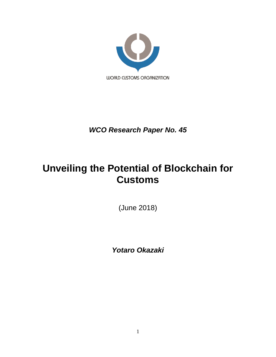

*WCO Research Paper No. 45*

# **Unveiling the Potential of Blockchain for Customs**

(June 2018)

*Yotaro Okazaki*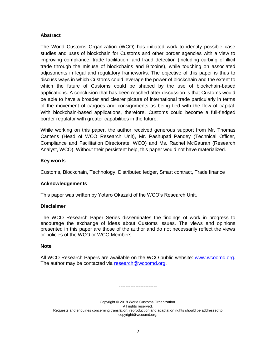# **Abstract**

The World Customs Organization (WCO) has initiated work to identify possible case studies and uses of blockchain for Customs and other border agencies with a view to improving compliance, trade facilitation, and fraud detection (including curbing of illicit trade through the misuse of blockchains and Bitcoins), while touching on associated adjustments in legal and regulatory frameworks. The objective of this paper is thus to discuss ways in which Customs could leverage the power of blockchain and the extent to which the future of Customs could be shaped by the use of blockchain-based applications. A conclusion that has been reached after discussion is that Customs would be able to have a broader and clearer picture of international trade particularly in terms of the movement of cargoes and consignments as being tied with the flow of capital. With blockchain-based applications, therefore, Customs could become a full-fledged border regulator with greater capabilities in the future.

While working on this paper, the author received generous support from Mr. Thomas Cantens (Head of WCO Research Unit), Mr. Pashupati Pandey (Technical Officer, Compliance and Facilitation Directorate, WCO) and Ms. Rachel McGauran (Research Analyst, WCO). Without their persistent help, this paper would not have materialized.

## **Key words**

Customs, Blockchain, Technology, Distributed ledger, Smart contract, Trade finance

#### **Acknowledgements**

This paper was written by Yotaro Okazaki of the WCO's Research Unit.

#### **Disclaimer**

The WCO Research Paper Series disseminates the findings of work in progress to encourage the exchange of ideas about Customs issues. The views and opinions presented in this paper are those of the author and do not necessarily reflect the views or policies of the WCO or WCO Members.

#### **Note**

All WCO Research Papers are available on the WCO public website: [www.wcoomd.org.](http://www.wcoomd.org/) The author may be contacted via [research@wcoomd.org.](mailto:research@wcoomd.org)

Copyright © 2018 World Customs Organization. All rights reserved. Requests and enquiries concerning translation, reproduction and adaptation rights should be addressed to copyright@wcoomd.org.

-----------------------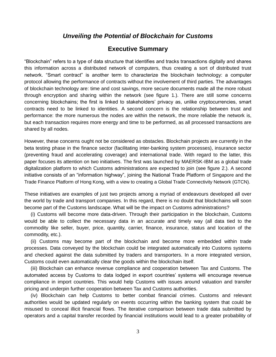# *Unveiling the Potential of Blockchain for Customs*

# **Executive Summary**

"Blockchain" refers to a type of data structure that identifies and tracks transactions digitally and shares this information across a distributed network of computers, thus creating a sort of distributed trust network. "Smart contract" is another term to characterize the blockchain technology: a computer protocol allowing the performance of contracts without the involvement of third parties. The advantages of blockchain technology are: time and cost savings, more secure documents made all the more robust through encryption and sharing within the network (see figure 1.). There are still some concerns concerning blockchains; the first is linked to stakeholders' privacy as, unlike cryptocurrencies, smart contracts need to be linked to identities. A second concern is the relationship between trust and performance: the more numerous the nodes are within the network, the more reliable the network is, but each transaction requires more energy and time to be performed, as all processed transactions are shared by all nodes.

However, these concerns ought not be considered as obstacles. Blockchain projects are currently in the beta testing phase in the finance sector (facilitating inter-banking system processes), insurance sector (preventing fraud and accelerating coverage) and international trade. With regard to the latter, this paper focuses its attention on two initiatives. The first was launched by MAERSK-IBM as a global trade digitalization platform to which Customs administrations are expected to join (see figure 2.). A second initiative consists of an "information highway", joining the National Trade Platform of Singapore and the Trade Finance Platform of Hong Kong, with a view to creating a Global Trade Connectivity Network (GTCN).

These initiatives are examples of just two projects among a myriad of endeavours developed all over the world by trade and transport companies. In this regard, there is no doubt that blockchains will soon become part of the Customs landscape. What will be the impact on Customs administrations?

(i) Customs will become more data-driven. Through their participation in the blockchain, Customs would be able to collect the necessary data in an accurate and timely way (all data tied to the commodity like seller, buyer, price, quantity, carrier, finance, insurance, status and location of the commodity, etc.).

(ii) Customs may become part of the blockchain and become more embedded within trade processes. Data conveyed by the blockchain could be integrated automatically into Customs systems and checked against the data submitted by traders and transporters. In a more integrated version, Customs could even automatically clear the goods within the blockchain itself.

(iii) Blockchain can enhance revenue compliance and cooperation between Tax and Customs. The automated access by Customs to data lodged in export countries' systems will encourage revenue compliance in import countries. This would help Customs with issues around valuation and transfer pricing and underpin further cooperation between Tax and Customs authorities.

(iv) Blockchain can help Customs to better combat financial crimes. Customs and relevant authorities would be updated regularly on events occurring within the banking system that could be misused to conceal illicit financial flows. The iterative comparison between trade data submitted by operators and a capital transfer recorded by financial institutions would lead to a greater probability of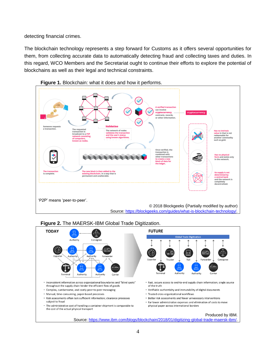detecting financial crimes.

The blockchain technology represents a step forward for Customs as it offers several opportunities for them, from collecting accurate data to automatically detecting fraud and collecting taxes and duties. In this regard, WCO Members and the Secretariat ought to continue their efforts to explore the potential of blockchains as well as their legal and technical constraints.







# **Figure 2.** The MAERSK-IBM Global Trade Digitization.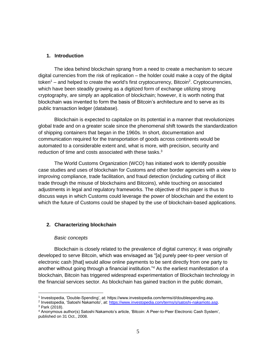# **1. Introduction**

The idea behind blockchain sprang from a need to create a mechanism to secure digital currencies from the risk of replication – the holder could make a copy of the digital token<sup>1</sup> – and helped to create the world's first cryptocurrency, Bitcoin<sup>2</sup>. Cryptocurrencies, which have been steadily growing as a digitized form of exchange utilizing strong cryptography, are simply an application of blockchain; however, it is worth noting that blockchain was invented to form the basis of Bitcoin's architecture and to serve as its public transaction ledger (database).

Blockchain is expected to capitalize on its potential in a manner that revolutionizes global trade and on a greater scale since the phenomenal shift towards the standardization of shipping containers that began in the 1960s. In short, documentation and communication required for the transportation of goods across continents would be automated to a considerable extent and, what is more, with precision, security and reduction of time and costs associated with these tasks.<sup>3</sup>

The World Customs Organization (WCO) has initiated work to identify possible case studies and uses of blockchain for Customs and other border agencies with a view to improving compliance, trade facilitation, and fraud detection (including curbing of illicit trade through the misuse of blockchains and Bitcoins), while touching on associated adjustments in legal and regulatory frameworks. The objective of this paper is thus to discuss ways in which Customs could leverage the power of blockchain and the extent to which the future of Customs could be shaped by the use of blockchain-based applications.

# **2. Characterizing blockchain**

#### *Basic concepts*

 $\overline{a}$ 

Blockchain is closely related to the prevalence of digital currency; it was originally developed to serve Bitcoin, which was envisaged as "[a] purely peer-to-peer version of electronic cash [that] would allow online payments to be sent directly from one party to another without going through a financial institution."<sup>4</sup> As the earliest manifestation of a blockchain, Bitcoin has triggered widespread experimentation of Blockchain technology in the financial services sector. As blockchain has gained traction in the public domain,

<sup>1</sup> Investopedia, 'Double-Spending', at: https://www.investopedia.com/terms/d/doublespending.asp.

<sup>&</sup>lt;sup>2</sup> Investopedia, 'Satoshi Nakamoto', at: [https://www.investopedia.com/terms/s/satoshi-nakamoto.asp.](https://www.investopedia.com/terms/s/satoshi-nakamoto.asp) <sup>3</sup> Park (2018).

<sup>4</sup> Anonymous author(s) Satoshi Nakamoto's article, 'Bitcoin: A Peer-to-Peer Electronic Cash System', published on 31 Oct., 2008.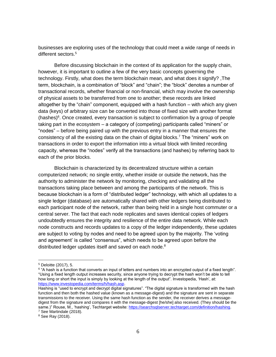businesses are exploring uses of the technology that could meet a wide range of needs in different sectors.<sup>5</sup>

Before discussing blockchain in the context of its application for the supply chain, however, it is important to outline a few of the very basic concepts governing the technology. Firstly, what does the term blockchain mean, and what does it signify? ,The term, blockchain, is a combination of "block" and "chain"; the "block" denotes a number of transactional records, whether financial or non-financial, which may involve the ownership of physical assets to be transferred from one to another; these records are linked altogether by the "chain" component, equipped with a hash function – with which any given data (keys) of arbitrary size can be converted into those of fixed size with another format  $(hashes)$ <sup>6</sup>. Once created, every transaction is subject to confirmation by a group of people taking part in the ecosystem – a category of (competing) participants called "miners" or "nodes" – before being paired up with the previous entry in a manner that ensures the consistency of all the existing data on the chain of digital blocks.<sup>7</sup> The "miners" work on transactions in order to export the information into a virtual block with limited recording capacity, whereas the "nodes" verify all the transactions (and hashes) by referring back to each of the prior blocks.

Blockchain is characterized by its decentralized structure within a certain computerized network; no single entity, whether inside or outside the network, has the authority to administer the network by monitoring, checking and validating all the transactions taking place between and among the participants of the network. This is because blockchain is a form of "distributed ledger" technology, with which all updates to a single ledger (database) are automatically shared with other ledgers being distributed to each participant node of the network, rather than being held in a single host commuter or a central server. The fact that each node replicates and saves identical copies of ledgers undoubtedly ensures the integrity and resilience of the entire data network. While each node constructs and records updates to a copy of the ledger independently, these updates are subject to voting by nodes and need to be agreed upon by the majority. The 'voting and agreement' is called "consensus", which needs to be agreed upon before the distributed ledger updates itself and saved on each node.<sup>8</sup>

 $\overline{a}$ 

<sup>8</sup> See Ray (2018).

<sup>5</sup> Deloitte (2017), 5.

 $^6$  "A hash is a function that converts an input of letters and numbers into an encrypted output of a fixed length". "Using a fixed length output increases security, since anyone trying to decrypt the hash won't be able to tell how long or short the input is simply by looking at the length of the output". Investopedia, 'Hash', at: [https://www.investopedia.com/terms/h/hash.asp.](https://www.investopedia.com/terms/h/hash.asp)

Hashing is "used to encrypt and decrypt digital signatures". "The digital signature is transformed with the hash function and then both the hashed value (known as a message-digest) and the signature are sent in separate transmissions to the receiver. Using the same hash function as the sender, the receiver derives a messagedigest from the signature and compares it with the message-digest [he/she] also received. (They should be the same.)" Rouse, M., 'hashing', Techtarget website[: https://searchsqlserver.techtarget.com/definition/hashing.](https://searchsqlserver.techtarget.com/definition/hashing) <sup>7</sup> See Martindale (2018).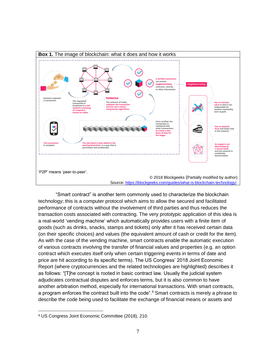

"Smart contract" is another term commonly used to characterize the blockchain technology; this is a computer protocol which aims to allow the secured and facilitated performance of contracts without the involvement of third parties and thus reduces the transaction costs associated with contracting. The very prototypic application of this idea is a real-world 'vending machine' which automatically provides users with a finite item of goods (such as drinks, snacks, stamps and tickets) only after it has received certain data (on their specific choices) and values (the equivalent amount of cash or credit for the item). As with the case of the vending machine, smart contracts enable the automatic execution of various contracts involving the transfer of financial values and properties (e.g. an option contract which executes itself only when certain triggering events in terms of date and price are hit according to its specific terms). The US Congress' 2018 Joint Economic Report (where cryptocurrencies and the related technologies are highlighted) describes it as follows: "[T]he concept is rooted in basic contract law. Usually the judicial system adjudicates contractual disputes and enforces terms, but it is also common to have another arbitration method, especially for international transactions. With smart contracts, a program enforces the contract built into the code".<sup>9</sup> Smart contracts is merely a phrase to describe the code being used to facilitate the exchange of financial means or assets and

<sup>9</sup> US Congress Joint Economic Committee (2018), 210.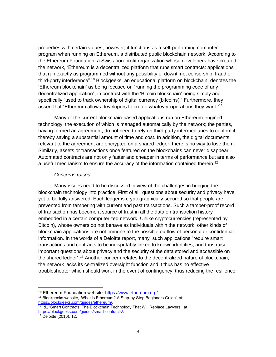properties with certain values; however, it functions as a self-performing computer program when running on Ethereum, a distributed public blockchain network. According to the Ethereum Foundation, a Swiss non-profit organization whose developers have created the network, "Ethereum is a decentralized platform that runs smart contracts: applications that run exactly as programmed without any possibility of downtime, censorship, fraud or third-party interference".<sup>10</sup> Blockgeeks, an educational platform on blockchain, denotes the 'Ethereum blockchain' as being focused on "running the programming code of any decentralized application", in contrast with the 'Bitcoin blockchain' being simply and specifically "used to track ownership of digital currency (bitcoins)." Furthermore, they assert that "Ethereum allows developers to create whatever operations they want."<sup>11</sup>

Many of the current blockchain-based applications run on Ethereum-engined technology, the execution of which is managed automatically by the network; the parties, having formed an agreement, do not need to rely on third party intermediaries to confirm it, thereby saving a substantial amount of time and cost. In addition, the digital documents relevant to the agreement are encrypted on a shared ledger; there is no way to lose them. Similarly, assets or transactions once featured on the blockchains can never disappear. Automated contracts are not only faster and cheaper in terms of performance but are also a useful mechanism to ensure the accuracy of the information contained therein.<sup>12</sup>

#### *Concerns raised*

Many issues need to be discussed in view of the challenges in bringing the blockchain technology into practice. First of all, questions about security and privacy have yet to be fully answered. Each ledger is cryptographically secured so that people are prevented from tampering with current and past transactions. Such a tamper-proof record of transaction has become a source of trust in all the data on transaction history embedded in a certain computerized network. Unlike cryptocurrencies (represented by Bitcoin), whose owners do not behave as individuals within the network, other kinds of blockchain applications are not immune to the possible outflow of personal or confidential information. In the words of a Deloitte report, many such applications "require smart transactions and contracts to be indisputably linked to known identities, and thus raise important questions about privacy and the security of the data stored and accessible on the shared ledger".<sup>13</sup> Another concern relates to the decentralized nature of blockchain; the network lacks its centralized oversight function and it thus has no effective troubleshooter which should work in the event of contingency, thus reducing the resilience

<sup>10</sup> Ethereum Foundation website: [https://www.ethereum.org/.](https://www.ethereum.org/)

<sup>&</sup>lt;sup>11</sup> Blockgeeks website, 'What is Ethereum? A Step-by-Step Beginners Guide', at: [https://blockgeeks.com/guides/ethereum/.](https://blockgeeks.com/guides/ethereum/)

 $12$  Id., 'Smart Contracts: The Blockchain Technology That Will Replace Lawyers', at [https://blockgeeks.com/guides/smart-contracts/.](https://blockgeeks.com/guides/smart-contracts/)

<sup>13</sup> Deloitte (2016), 12.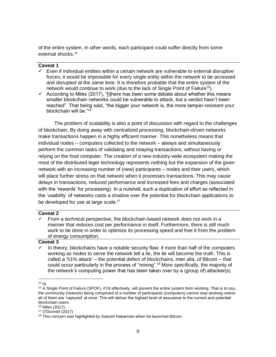of the entire system. In other words, each participant could suffer directly from some external shocks.<sup>14</sup>

#### **Caveat 1**

- $\checkmark$  Even if individual entities within a certain network are vulnerable to external disruptive forces, it would be impossible for every single entity within the network to be accessed and disrupted at the same time. It is therefore probable that the entire system of the network would continue to work (due to the lack of Single Point of Failure<sup>15</sup>).
- $\checkmark$  According to Miles (2017), "[t]here has been some debate about whether this means smaller blockchain networks could be vulnerable to attack, but a verdict hasn't been reached". That being said, "the bigger your network is, the more tamper-resistant your blockchain will be."<sup>16</sup>

The problem of scalability is also a point of discussion with regard to the challenges of blockchain. By doing away with centralized processing, blockchain-driven networks make transactions happen in a highly efficient manner. This nonetheless means that individual nodes – computers collected to the network – always and simultaneously perform the common tasks of validating and relaying transactions, without having or relying on the host computer. The creation of a new industry-wide ecosystem making the most of the distributed leger technology represents nothing but the expansion of the given network with an increasing number of (new) participants – nodes and their users, which will place further stress on that network when it processes transactions. This may cause delays in transactions, reduced performance and increased fees and charges (associated with the 'rewards' for processing). In a nutshell, such a duplication of effort as reflected in the 'usability' of networks casts a shadow over the potential for blockchain applications to be developed for use at large scale.<sup>17</sup>

#### **Caveat 2**

 From a technical perspective, the blockchain-based network does not work in a manner that reduces cost per performance in itself. Furthermore, there is still much work to be done in order to optimize its processing speed and free it from the problem of energy consumption.

#### **Caveat 3**

 In theory, blockchains have a notable security flaw: if more than half of the computers working as nodes to serve the network tell a lie, the lie will become the truth. This is called a '51% attack' – the potential defect of blockchains, inter alia, of Bitcoin – that could occur particularly in the process of "mining".<sup>18</sup> More specifically, the majority of the network's computing power that has been taken over by a (group of) attacker(s)

 $\overline{a}$  $14$  Id.

<sup>15</sup> A Single Point of Failure (SPOF), if hit effectively, will prevent the entire system form working. That is to say, the community (network) being comprised of a number of participants (computers) cannot stop working unless all of them are 'captured' at once. This will deliver the highest level of assurance to the current and potential blockchain users.

<sup>16</sup> Miles (2017).

<sup>17</sup> O'Donnell (2017)

<sup>&</sup>lt;sup>18</sup> This concern was highlighted by Satoshi Nakamoto when he launched Bitcoin.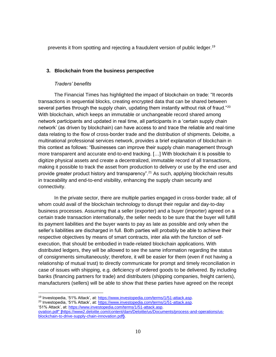prevents it from spotting and rejecting a fraudulent version of public ledger.<sup>19</sup>

# **3. Blockchain from the business perspective**

## *Traders' benefits*

The Financial Times has highlighted the impact of blockchain on trade: "It records transactions in sequential blocks, creating encrypted data that can be shared between several parties through the supply chain, updating them instantly without risk of fraud."<sup>20</sup> With blockchain, which keeps an immutable or unchangeable record shared among network participants and updated in real time, all participants in a 'certain supply chain network' (as driven by blockchain) can have access to and trace the reliable and real-time data relating to the flow of cross-border trade and the distribution of shipments. Deloitte, a multinational professional services network, provides a brief explanation of blockchain in this context as follows: "Businesses can improve their supply chain management through more transparent and accurate end-to-end tracking. […] With blockchain it is possible to digitize physical assets and create a decentralized, immutable record of all transactions, making it possible to track the asset from production to delivery or use by the end user and provide greater product history and transparency".<sup>21</sup> As such, applying blockchain results in traceability and end-to-end visibility, enhancing the supply chain security and connectivity.

In the private sector, there are multiple parties engaged in cross-border trade; all of whom could avail of the blockchain technology to disrupt their regular and day-to-day business processes. Assuming that a seller (exporter) and a buyer (importer) agreed on a certain trade transaction internationally, the seller needs to be sure that the buyer will fulfill its payment liabilities and the buyer wants to pay as late as possible and only when the seller's liabilities are discharged in full. Both parties will probably be able to achieve their respective objectives by means of smart contracts, inter alia with the function of selfexecution, that should be embodied in trade-related blockchain applications. With distributed ledgers, they will be allowed to see the same information regarding the status of consignments simultaneously; therefore, it will be easier for them (even if not having a relationship of mutual trust) to directly communicate for prompt and timely reconciliation in case of issues with shipping, e.g. deficiency of ordered goods to be delivered. By including banks (financing partners for trade) and distributers (shipping companies, freight carriers), manufacturers (sellers) will be able to show that these parties have agreed on the receipt

 $\overline{a}$ <sup>19</sup> Investopedia, '51% Attack', at: [https://www.investopedia.com/terms/1/51-attack.asp.](https://www.investopedia.com/terms/1/51-attack.asp)

<sup>20</sup> Investopedia, '51% Attack', at: [https://www.investopedia.com/terms/1/51-attack.asp.](https://www.investopedia.com/terms/1/51-attack.asp) '51% Attack', at: [https://www.investopedia.com/terms/1/51-attack.asp.](https://www.investopedia.com/terms/1/51-attack.asp)

ovation.pdf" **|**https://www2.deloitte.com/content/dam/Deloitte/us/Documents/process-and-operations/usblockchain-to-drive-supply-chain-innovation.pdf**}**.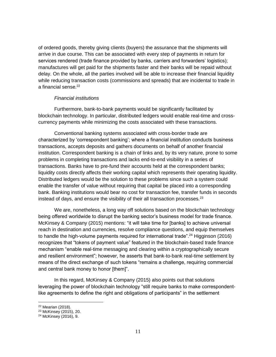of ordered goods, thereby giving clients (buyers) the assurance that the shipments will arrive in due course. This can be associated with every step of payments in return for services rendered (trade finance provided by banks, carriers and forwarders' logistics); manufactures will get paid for the shipments faster and their banks will be repaid without delay. On the whole, all the parties involved will be able to increase their financial liquidity while reducing transaction costs (commissions and spreads) that are incidental to trade in a financial sense.<sup>22</sup>

#### *Financial institutions*

Furthermore, bank-to-bank payments would be significantly facilitated by blockchain technology. In particular, distributed ledgers would enable real-time and crosscurrency payments while minimizing the costs associated with these transactions.

Conventional banking systems associated with cross-border trade are characterized by 'correspondent banking'; where a financial institution conducts business transactions, accepts deposits and gathers documents on behalf of another financial institution. Correspondent banking is a chain of links and, by its very nature, prone to some problems in completing transactions and lacks end-to-end visibility in a series of transactions. Banks have to pre-fund their accounts held at the correspondent banks; liquidity costs directly affects their working capital which represents their operating liquidity. Distributed ledgers would be the solution to these problems since such a system could enable the transfer of value without requiring that capital be placed into a corresponding bank. Banking institutions would bear no cost for transaction fee, transfer funds in seconds instead of days, and ensure the visibility of their all transaction processes. $^{23}$ 

We are, nonetheless, a long way off solutions based on the blockchain technology being offered worldwide to disrupt the banking sector's business model for trade finance. McKinsey & Company (2015) mentions: "it will take time for [banks] to achieve universal reach in destination and currencies, resolve compliance questions, and equip themselves to handle the high-volume payments required for international trade".<sup>24</sup> Higginson (2016) recognizes that "tokens of payment value" featured in the blockchain-based trade finance mechanism "enable real-time messaging and clearing within a cryptographically secure and resilient environment"; however, he asserts that bank-to-bank real-time settlement by means of the direct exchange of such tokens "remains a challenge, requiring commercial and central bank money to honor [them]".

In this regard, McKinsey & Company (2015) also points out that solutions leveraging the power of blockchain technology "still require banks to make correspondentlike agreements to define the right and obligations of participants" in the settlement

<sup>22</sup> Mearian (2018).

 $23$  McKinsey (2015), 20.

<sup>24</sup> McKinsey (2016), 9.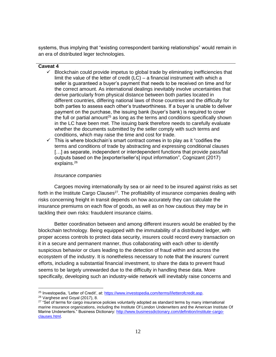systems, thus implying that "existing correspondent banking relationships" would remain in an era of distributed leger technologies.

## **Caveat 4**

- $\checkmark$  Blockchain could provide impetus to global trade by eliminating inefficiencies that limit the value of the letter of credit  $(LC)$  – a financial instrument with which a seller is guaranteed a buyer's payment that needs to be received on time and for the correct amount. As international dealings inevitably involve uncertainties that derive particularly from physical distance between both parties located in different countries, differing national laws of those countries and the difficulty for both parties to assess each other's trustworthiness. If a buyer is unable to deliver payment on the purchase, the issuing bank (buyer's bank) is required to cover the full or partial amount<sup>25</sup> as long as the terms and conditions specifically shown in the LC have been met. The issuing bank therefore needs to carefully evaluate whether the documents submitted by the seller comply with such terms and conditions, which may raise the time and cost for trade.
- $\checkmark$  This is where blockchain's smart contract comes in to play as it "codifies the terms and conditions of trade by abstracting and expressing conditional clauses [...] as separate, independent or interdependent functions that provide pass/fail outputs based on the [exporter/seller's] input information", Cognizant (2017) explains.<sup>26</sup>

## *Insurance companies*

Cargoes moving internationally by sea or air need to be insured against risks as set forth in the Institute Cargo Clauses<sup>27</sup>. The profitability of insurance companies dealing with risks concerning freight in transit depends on how accurately they can calculate the insurance premiums on each flow of goods, as well as on how cautious they may be in tackling their own risks: fraudulent insurance claims.

Better coordination between and among different insurers would be enabled by the blockchain technology. Being equipped with the immutability of a distributed ledger, with proper access controls to protect data security, insurers could record every transaction on it in a secure and permanent manner, thus collaborating with each other to identify suspicious behavior or clues leading to the detection of fraud within and across the ecosystem of the industry. It is nonetheless necessary to note that the insurers' current efforts, including a substantial financial investment, to share the data to prevent fraud seems to be largely unrewarded due to the difficulty in handling these data. More specifically, developing such an industry-wide network will inevitably raise concerns and

 $\overline{a}$ <sup>25</sup> Investopedia, 'Letter of Credit', at: [https://www.investopedia.com/terms/l/letterofcredit.asp.](https://www.investopedia.com/terms/l/letterofcredit.asp)

<sup>26</sup> Varghese and Goyal (2017), 8.

<sup>&</sup>lt;sup>27</sup> "Set of terms for cargo insurance policies voluntarily adopted as standard terms by many international marine insurance organizations, including the Institute Of London Underwriters and the American Institute Of Marine Underwriters." Business Dictionary: [http://www.businessdictionary.com/definition/institute-cargo](http://www.businessdictionary.com/definition/institute-cargo-clauses.html)[clauses.html.](http://www.businessdictionary.com/definition/institute-cargo-clauses.html)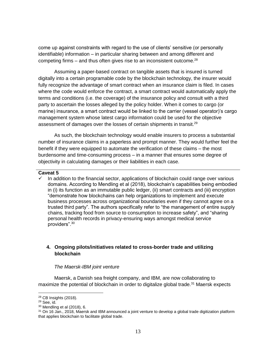come up against constraints with regard to the use of clients' sensitive (or personally identifiable) information – in particular sharing between and among different and competing firms  $-$  and thus often gives rise to an inconsistent outcome.<sup>28</sup>

Assuming a paper-based contract on tangible assets that is insured is turned digitally into a certain programable code by the blockchain technology, the insurer would fully recognize the advantage of smart contract when an insurance claim is filed. In cases where the code would enforce the contract, a smart contract would automatically apply the terms and conditions (i.e. the coverage) of the insurance policy and consult with a third party to ascertain the losses alleged by the policy holder. When it comes to cargo (or marine) insurance, a smart contract would be linked to the carrier (vessel operator)'s cargo management system whose latest cargo information could be used for the objective assessment of damages over the losses of certain shipments in transit.<sup>29</sup>

As such, the blockchain technology would enable insurers to process a substantial number of insurance claims in a paperless and prompt manner. They would further feel the benefit if they were equipped to automate the verification of these claims – the most burdensome and time-consuming process – in a manner that ensures some degree of objectivity in calculating damages or their liabilities in each case.

#### **Caveat 5**

 $\checkmark$  In addition to the financial sector, applications of blockchain could range over various domains. According to Mendling et al (2018), blockchain's capabilities being embodied in (i) its function as an immutable public ledger, (ii) smart contracts and (iii) encryption "demonstrate how blockchains can help organizations to implement and execute business processes across organizational boundaries even if they cannot agree on a trusted third party". The authors specifically refer to "the management of entire supply chains, tracking food from source to consumption to increase safety", and "sharing personal health records in privacy-ensuring ways amongst medical service providers".<sup>30</sup>

# **4. Ongoing pilots/initiatives related to cross-border trade and utilizing blockchain**

#### *The Maersk-IBM joint venture*

Maersk, a Danish sea freight company, and IBM, are now collaborating to maximize the potential of blockchain in order to digitalize global trade.<sup>31</sup> Maersk expects

<sup>28</sup> CB Insights (2018).

 $29$  See, id.

<sup>30</sup> Mendling et al (2018), 6.

 $31$  On 16 Jan., 2018, Maersk and IBM announced a joint venture to develop a global trade digitization platform that applies blockchain to facilitate global trade.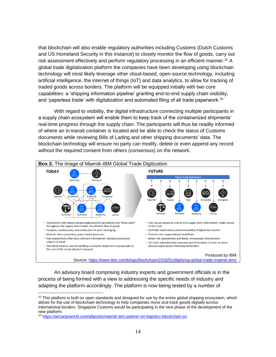that blockchain will also enable regulatory authorities including Customs (Dutch Customs and US Homeland Security in this instance) to closely monitor the flow of goods, carry out risk assessment effectively and perform regulatory processing in an efficient manner.<sup>32</sup> A global trade digitalization platform the companies have been developing using blockchain technology will most likely leverage other cloud-based, open-source technology, including artificial intelligence, the internet of things (IoT) and data analytics, to allow for tracking of traded goods across borders. The platform will be equipped initially with two core capabilities: a 'shipping information pipeline' granting end-to-end supply chain visibility; and 'paperless trade' with digitalization and automated filing of all trade paperwork.<sup>33</sup>

With regard to visibility, the digital infrastructure connecting multiple participants in a supply chain ecosystem will enable them to keep track of the containerized shipments' real-time progress through the supply chain. The participants will thus be readily informed of where an in-transit container is located and be able to check the status of Customs documents while reviewing Bills of Lading and other shipping documents' data. The blockchain technology will ensure no party can modify, delete or even append any record without the required consent from others (consensus) on the network.



An advisory board comprising industry experts and government officials is in the process of being formed with a view to addressing the specific needs of industry and adapting the platform accordingly. The platform is now being tested by a number of

 $32$  This platform is built on open standards and designed for use by the entire global shipping ecosystem, which allows for the use of blockchain technology to help companies move and track goods digitally across international borders. Singapore Customs would be participating in the next phase of the development of the new platform.

<sup>33</sup> [https://aircargoworld.com/allposts/maersk-ibm-partner-on-logistics-blockchain-jv/.](https://aircargoworld.com/allposts/maersk-ibm-partner-on-logistics-blockchain-jv/)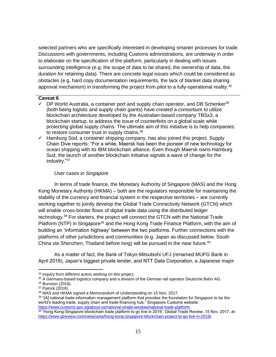selected partners who are specifically interested in developing smarter processes for trade. Discussions with governments, including Customs administrations, are underway in order to elaborate on the specification of the platform, particularly in dealing with issues surrounding intelligence (e.g. the scope of data to be shared, the ownership of data, the duration for retaining data). There are concrete legal issues which could be considered as obstacles (e.g. hard copy documentation requirements, the lack of blanket data sharing approval mechanism) in transforming the project from pilot to a fully-operational reality.<sup>34</sup>

#### **Caveat 6**

- DP World Australia, a container port and supply chain operator, and DB Schenker<sup>35</sup> (both being logistic and supply chain giants) have created a consortium to utilize blockchain architecture developed by the Australian-based company TBSx3, a blockchain startup, to address the issue of counterfeits on a global scale while protecting global supply chains. The ultimate aim of this initiative is to help companies to restore consumer trust in supply chains.<sup>36</sup>
- $\checkmark$  Hamburg Süd, a container shipping company, has also joined this project. Supply Chain Dive reports: "For a while, Maersk has been the pioneer of new technology for ocean shipping with its IBM blockchain alliance. Even though Maersk owns Hamburg Sud, the launch of another blockchain initiative signals a wave of change for the industry."<sup>37</sup>

# *User cases in Singapore*

In terms of trade finance, the Monetary Authority of Singapore (MAS) and the Hong Kong Monetary Authority (HKMA) – both are the regulators responsible for maintaining the stability of the currency and financial system in the respective territories – are currently working together to jointly develop the Global Trade Connectivity Network (GTCN) which will enable cross-border flows of digital trade data using the distributed ledger technology.<sup>38</sup> For starters, the project will connect the GTCN with the National Trade Platform (NTP) in Singapore<sup>39</sup> and the Hong Kong Trade Finance Platform, with the aim of building an 'information highway' between the two platforms. Further connections with the platforms of other jurisdictions and communities (e.g. Japan as discussed below, South China via Shenzhen, Thailand before long) will be pursued in the near future.<sup>40</sup>

As a matter of fact, the Bank of Tokyo-Mitsubishi UFJ (renamed MUFG Bank in April 2018), Japan's biggest private lender, and NTT Data Corporation, a Japanese major

<sup>&</sup>lt;sup>34</sup> Inquiry from different actors working on this project.

<sup>35</sup> A Germany-based logistics company and a division of the German rail operator Deutsche Bahn AG.

<sup>36</sup> Burnson (2018).

<sup>&</sup>lt;sup>37</sup> Patrick (2018).

<sup>38</sup> MAS and HKMA signed a Memorandum of Understanding on 15 Nov. 2017.

<sup>&</sup>lt;sup>39</sup> "[A] national trade information management platform that provides the foundation for Singapore to be the world's leading trade, supply chain and trade financing hub." Singapore Customs website: [https://www.customs.gov.sg/about-us/national-single-window/national-trade-platform.](https://www.customs.gov.sg/about-us/national-single-window/national-trade-platform)

<sup>40 &#</sup>x27;Hong Kong-Singapore blockchain trade platform to go live in 2019', Global Trade Review, 15 Nov. 2017, at: [https://www.gtreview.com/news/asia/hong-kong-singapore-blockchain-project-to-go-live-in-2019/.](https://www.gtreview.com/news/asia/hong-kong-singapore-blockchain-project-to-go-live-in-2019/)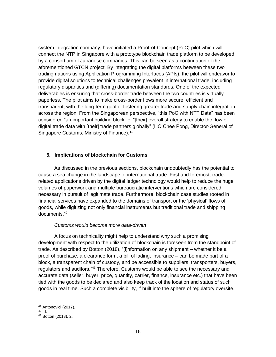system integration company, have initiated a Proof-of-Concept (PoC) pilot which will connect the NTP in Singapore with a prototype blockchain trade platform to be developed by a consortium of Japanese companies. This can be seen as a continuation of the aforementioned GTCN project. By integrating the digital platforms between these two trading nations using Application Programming Interfaces (APIs), the pilot will endeavor to provide digital solutions to technical challenges prevalent in international trade, including regulatory disparities and (differing) documentation standards. One of the expected deliverables is ensuring that cross-border trade between the two countries is virtually paperless. The pilot aims to make cross-border flows more secure, efficient and transparent, with the long-term goal of fostering greater trade and supply chain integration across the region. From the Singaporean perspective, "this PoC with NTT Data" has been considered "an important building block" of "[their] overall strategy to enable the flow of digital trade data with [their] trade partners globally" (HO Chee Pong, Director-General of Singapore Customs, Ministry of Finance).<sup>41</sup>

## **5. Implications of blockchain for Customs**

As discussed in the previous sections, blockchain undoubtedly has the potential to cause a sea change in the landscape of international trade. First and foremost, traderelated applications driven by the digital ledger technology would help to reduce the huge volumes of paperwork and multiple bureaucratic interventions which are considered necessary in pursuit of legitimate trade. Furthermore, blockchain case studies rooted in financial services have expanded to the domains of transport or the 'physical' flows of goods, while digitizing not only financial instruments but traditional trade and shipping documents.<sup>42</sup>

#### *Customs would become more data-driven*

A focus on technicality might help to understand why such a promising development with respect to the utilization of blockchain is foreseen from the standpoint of trade. As described by Botton (2018), "[i]nformation on any shipment – whether it be a proof of purchase, a clearance form, a bill of lading, insurance – can be made part of a block, a transparent chain of custody, and be accessible to suppliers, transporters, buyers, regulators and auditors."<sup>43</sup> Therefore, Customs would be able to see the necessary and accurate data (seller, buyer, price, quantity, carrier, finance, insurance etc.) that have been tied with the goods to be declared and also keep track of the location and status of such goods in real time. Such a complete visibility, if built into the sphere of regulatory oversite,

<sup>41</sup> Antonovici (2017).

<sup>42</sup> Id.

<sup>43</sup> Botton (2018), 2.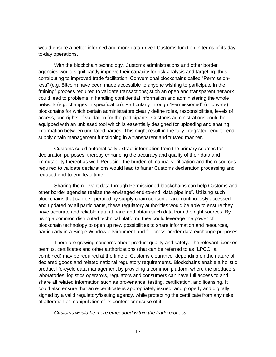would ensure a better-informed and more data-driven Customs function in terms of its dayto-day operations.

With the blockchain technology, Customs administrations and other border agencies would significantly improve their capacity for risk analysis and targeting, thus contributing to improved trade facilitation. Conventional blockchains called "Permissionless" (e.g. Bitcoin) have been made accessible to anyone wishing to participate in the "mining" process required to validate transactions; such an open and transparent network could lead to problems in handling confidential information and administering the whole network (e.g. changes in specification). Particularly through "Permissioned" (or private) blockchains for which certain administrators clearly define roles, responsibilities, levels of access, and rights of validation for the participants, Customs administrations could be equipped with an unbiased tool which is essentially designed for uploading and sharing information between unrelated parties. This might result in the fully integrated, end-to-end supply chain management functioning in a transparent and trusted manner.

Customs could automatically extract information from the primary sources for declaration purposes, thereby enhancing the accuracy and quality of their data and immutability thereof as well. Reducing the burden of manual verification and the resources required to validate declarations would lead to faster Customs declaration processing and reduced end-to-end lead time.

Sharing the relevant data through Permissioned blockchains can help Customs and other border agencies realize the envisaged end-to-end "data pipeline". Utilizing such blockchains that can be operated by supply-chain consortia, and continuously accessed and updated by all participants, these regulatory authorities would be able to ensure they have accurate and reliable data at hand and obtain such data from the right sources. By using a common distributed technical platform, they could leverage the power of blockchain technology to open up new possibilities to share information and resources, particularly in a Single Window environment and for cross-border data exchange purposes.

There are growing concerns about product quality and safety. The relevant licenses, permits, certificates and other authorizations (that can be referred to as "LPCO" all combined) may be required at the time of Customs clearance, depending on the nature of declared goods and related national regulatory requirements. Blockchains enable a holistic product life-cycle data management by providing a common platform where the producers, laboratories, logistics operators, regulators and consumers can have full access to and share all related information such as provenance, testing, certification, and licensing. It could also ensure that an e-certificate is appropriately issued, and properly and digitally signed by a valid regulatory/issuing agency, while protecting the certificate from any risks of alteration or manipulation of its content or misuse of it.

*Customs would be more embedded within the trade process*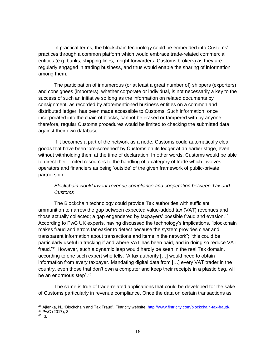In practical terms, the blockchain technology could be embedded into Customs' practices through a common platform which would embrace trade-related commercial entities (e.g. banks, shipping lines, freight forwarders, Customs brokers) as they are regularly engaged in trading business, and thus would enable the sharing of information among them.

The participation of innumerous (or at least a great number of) shippers (exporters) and consignees (importers), whether corporate or individual, is not necessarily a key to the success of such an initiative so long as the information on related documents by consignment, as recorded by aforementioned business entities on a common and distributed ledger, has been made accessible to Customs. Such information, once incorporated into the chain of blocks, cannot be erased or tampered with by anyone; therefore, regular Customs procedures would be limited to checking the submitted data against their own database.

If it becomes a part of the network as a node, Customs could automatically clear goods that have been 'pre-screened' by Customs on its ledger at an earlier stage, even without withholding them at the time of declaration. In other words, Customs would be able to direct their limited resources to the handling of a category of trade which involves operators and financiers as being 'outside' of the given framework of public-private partnership.

# *Blockchain would favour revenue compliance and cooperation between Tax and Customs*

The Blockchain technology could provide Tax authorities with sufficient ammunition to narrow the gap between expected value-added tax (VAT) revenues and those actually collected; a gap engendered by taxpayers' possible fraud and evasion.<sup>44</sup> According to PwC UK experts, having discussed the technology's implications, "blockchain makes fraud and errors far easier to detect because the system provides clear and transparent information about transactions and items in the network"; "this could be particularly useful in tracking if and where VAT has been paid, and in doing so reduce VAT fraud."<sup>45</sup> However, such a dynamic leap would hardly be seen in the real Tax domain, according to one such expert who tells: "A tax authority […] would need to obtain information from every taxpayer. Mandating digital data from […] every VAT trader in the country, even those that don't own a computer and keep their receipts in a plastic bag, will be an enormous step".<sup>46</sup>

The same is true of trade-related applications that could be developed for the sake of Customs particularly in revenue compliance. Once the data on certain transactions as

<sup>44</sup> Ajienka, N., 'Blockchain and Tax Fraud', Fintricity website: [http://www.fintricity.com/blockchain-tax-fraud/.](http://www.fintricity.com/blockchain-tax-fraud/)

<sup>45</sup> PwC (2017), 3.

 $46$  Id.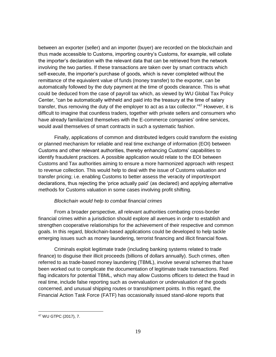between an exporter (seller) and an importer (buyer) are recorded on the blockchain and thus made accessible to Customs, importing country's Customs, for example, will collate the importer's declaration with the relevant data that can be retrieved from the network involving the two parties. If these transactions are taken over by smart contracts which self-execute, the importer's purchase of goods, which is never completed without the remittance of the equivalent value of funds (money transfer) to the exporter, can be automatically followed by the duty payment at the time of goods clearance. This is what could be deduced from the case of payroll tax which, as viewed by WU Global Tax Policy Center, "can be automatically withheld and paid into the treasury at the time of salary transfer, thus removing the duty of the employer to act as a tax collector."47 However, it is difficult to imagine that countless traders, together with private sellers and consumers who have already familiarized themselves with the E-commerce companies' online services, would avail themselves of smart contracts in such a systematic fashion.

Finally, applications of common and distributed ledgers could transform the existing or planned mechanism for reliable and real time exchange of information (EOI) between Customs and other relevant authorities, thereby enhancing Customs' capabilities to identify fraudulent practices. A possible application would relate to the EOI between Customs and Tax authorities aiming to ensure a more harmonized approach with respect to revenue collection. This would help to deal with the issue of Customs valuation and transfer pricing; i.e. enabling Customs to better assess the veracity of import/export declarations, thus rejecting the 'price actually paid' (as declared) and applying alternative methods for Customs valuation in some cases involving profit shifting.

# *Blockchain would help to combat financial crimes*

From a broader perspective, all relevant authorities combating cross-border financial crimes within a jurisdiction should explore all avenues in order to establish and strengthen cooperative relationships for the achievement of their respective and common goals. In this regard, blockchain-based applications could be developed to help tackle emerging issues such as money laundering, terrorist financing and illicit financial flows.

Criminals exploit legitimate trade (including banking systems related to trade finance) to disguise their illicit proceeds (billions of dollars annually). Such crimes, often referred to as trade-based money laundering (TBML), involve several schemes that have been worked out to complicate the documentation of legitimate trade transactions. Red flag indicators for potential TBML, which may allow Customs officers to detect the fraud in real time, include false reporting such as overvaluation or undervaluation of the goods concerned, and unusual shipping routes or transshipment points. In this regard, the Financial Action Task Force (FATF) has occasionally issued stand-alone reports that

<sup>47</sup> WU GTPC (2017), 7.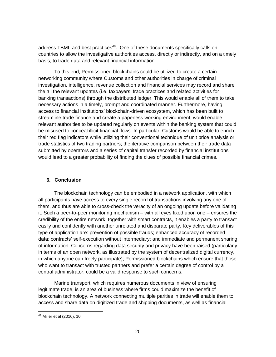address TBML and best practices<sup>48</sup>. One of these documents specifically calls on countries to allow the investigative authorities access, directly or indirectly, and on a timely basis, to trade data and relevant financial information.

To this end, Permissioned blockchains could be utilized to create a certain networking community where Customs and other authorities in charge of criminal investigation, intelligence, revenue collection and financial services may record and share the all the relevant updates (i.e. taxpayers' trade practices and related activities for banking transactions) through the distributed ledger. This would enable all of them to take necessary actions in a timely, prompt and coordinated manner. Furthermore, having access to financial institutions' blockchain-driven ecosystem, which has been built to streamline trade finance and create a paperless working environment, would enable relevant authorities to be updated regularly on events within the banking system that could be misused to conceal illicit financial flows. In particular, Customs would be able to enrich their red flag indicators while utilizing their conventional technique of unit price analysis or trade statistics of two trading partners; the iterative comparison between their trade data submitted by operators and a series of capital transfer recorded by financial institutions would lead to a greater probability of finding the clues of possible financial crimes.

# **6. Conclusion**

The blockchain technology can be embodied in a network application, with which all participants have access to every single record of transactions involving any one of them, and thus are able to cross-check the veracity of an ongoing update before validating it. Such a peer-to-peer monitoring mechanism – with all eyes fixed upon one – ensures the credibility of the entire network; together with smart contracts, it enables a party to transact easily and confidently with another unrelated and disparate party. Key deliverables of this type of application are: prevention of possible frauds; enhanced accuracy of recorded data; contracts' self-execution without intermediary; and immediate and permanent sharing of information. Concerns regarding data security and privacy have been raised (particularly in terms of an open network, as illustrated by the system of decentralized digital currency, in which anyone can freely participate); Permissioned blockchains which ensure that those who want to transact with trusted partners and prefer a certain degree of control by a central administrator, could be a valid response to such concerns.

Marine transport, which requires numerous documents in view of ensuring legitimate trade, is an area of business where firms could maximize the benefit of blockchain technology. A network connecting multiple parities in trade will enable them to access and share data on digitized trade and shipping documents, as well as financial

<sup>48</sup> Miller et al (2016), 10.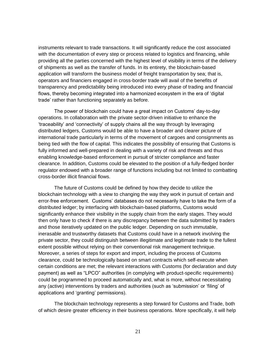instruments relevant to trade transactions. It will significantly reduce the cost associated with the documentation of every step or process related to logistics and financing, while providing all the parties concerned with the highest level of visibility in terms of the delivery of shipments as well as the transfer of funds. In its entirety, the blockchain-based application will transform the business model of freight transportation by sea; that is, operators and financiers engaged in cross-border trade will avail of the benefits of transparency and predictability being introduced into every phase of trading and financial flows, thereby becoming integrated into a harmonized ecosystem in the era of 'digital trade' rather than functioning separately as before.

The power of blockchain could have a great impact on Customs' day-to-day operations. In collaboration with the private sector-driven initiative to enhance the 'traceability' and 'connectivity' of supply chains all the way through by leveraging distributed ledgers, Customs would be able to have a broader and clearer picture of international trade particularly in terms of the movement of cargoes and consignments as being tied with the flow of capital. This indicates the possibility of ensuring that Customs is fully informed and well-prepared in dealing with a variety of risk and threats and thus enabling knowledge-based enforcement in pursuit of stricter compliance and faster clearance. In addition, Customs could be elevated to the position of a fully-fledged border regulator endowed with a broader range of functions including but not limited to combatting cross-border illicit financial flows.

The future of Customs could be defined by how they decide to utilize the blockchain technology with a view to changing the way they work in pursuit of certain and error-free enforcement. Customs' databases do not necessarily have to take the form of a distributed ledger; by interfacing with blockchain-based platforms, Customs would significantly enhance their visibility in the supply chain from the early stages. They would then only have to check if there is any discrepancy between the data submitted by traders and those iteratively updated on the public ledger. Depending on such immutable, inerasable and trustworthy datasets that Customs could have in a network involving the private sector, they could distinguish between illegitimate and legitimate trade to the fullest extent possible without relying on their conventional risk management technique. Moreover, a series of steps for export and import, including the process of Customs clearance, could be technologically based on smart contracts which self-execute when certain conditions are met; the relevant interactions with Customs (for declaration and duty payment) as well as "LPCO" authorities (in complying with product-specific requirements) could be programmed to proceed automatically and, what is more, without necessitating any (active) interventions by traders and authorities (such as 'submission' or 'filing' of applications and 'granting' permissions).

The blockchain technology represents a step forward for Customs and Trade, both of which desire greater efficiency in their business operations. More specifically, it will help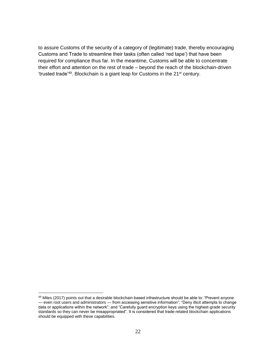to assure Customs of the security of a category of (legitimate) trade, thereby encouraging Customs and Trade to streamline their tasks (often called 'red tape') that have been required for compliance thus far. In the meantime, Customs will be able to concentrate their effort and attention on the rest of trade – beyond the reach of the blockchain-driven 'trusted trade<sup>'49</sup>. Blockchain is a giant leap for Customs in the 21<sup>st</sup> century.

<sup>49</sup> Miles (2017) points out that a desirable blockchain-based infrastructure should be able to: "Prevent anyone — even root users and administrators — from accessing sensitive information"; "Deny illicit attempts to change data or applications within the network"; and "Carefully guard encryption keys using the highest-grade security standards so they can never be misappropriated". It is considered that trade-related blockchain applications should be equipped with these capabilities.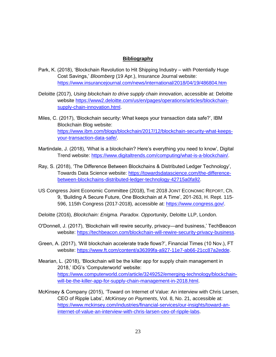# **Bibliography**

- Park, K. (2018), 'Blockchain Revolution to Hit Shipping Industry with Potentially Huge Cost Savings,' *Bloomberg* (19 Apr.), Insurance Journal website: <https://www.insurancejournal.com/news/international/2018/04/19/486804.htm>
- Deloitte (2017), *Using blockchain to drive supply chain innovation*, accessible at: Deloitte website [https://www2.deloitte.com/us/en/pages/operations/articles/blockchain](https://www2.deloitte.com/us/en/pages/operations/articles/blockchain-supply-chain-innovation.html)[supply-chain-innovation.html.](https://www2.deloitte.com/us/en/pages/operations/articles/blockchain-supply-chain-innovation.html)
- Miles, C. (2017), 'Blockchain security: What keeps your transaction data safe?', IBM Blockchain Blog website: [https://www.ibm.com/blogs/blockchain/2017/12/blockchain-security-what-keeps](https://www.ibm.com/blogs/blockchain/2017/12/blockchain-security-what-keeps-your-transaction-data-safe/)[your-transaction-data-safe/.](https://www.ibm.com/blogs/blockchain/2017/12/blockchain-security-what-keeps-your-transaction-data-safe/)
- Martindale, J. (2018), 'What is a blockchain? Here's everything you need to know', Digital Trend website: [https://www.digitaltrends.com/computing/what-is-a-blockchain/.](https://www.digitaltrends.com/computing/what-is-a-blockchain/)
- Ray, S. (2018), 'The Difference Between Blockchains & Distributed Ledger Technology', Towards Data Science website: [https://towardsdatascience.com/the-difference](https://towardsdatascience.com/the-difference-between-blockchains-distributed-ledger-technology-42715a0fa92)[between-blockchains-distributed-ledger-technology-42715a0fa92.](https://towardsdatascience.com/the-difference-between-blockchains-distributed-ledger-technology-42715a0fa92)
- US Congress Joint Economic Committee (2018), THE 2018 JOINT ECONOMIC REPORT, Ch. 9, 'Building A Secure Future, One Blockchain at A Time', 201-263, H. Rept. 115- 596, 115th Congress (2017-2018), accessible at: [https://www.congress.gov/.](https://www.congress.gov/)
- Deloitte (2016), *Blockchain: Enigma. Paradox. Opportunity*, Deloitte LLP, London.
- O'Donnell, J. (2017), 'Blockchain will rewire security, privacy—and business,' TechBeacon website: [https://techbeacon.com/blockchain-will-rewire-security-privacy-business.](https://techbeacon.com/blockchain-will-rewire-security-privacy-business)
- Green, A. (2017), 'Will blockchain accelerate trade flows?', Financial Times (10 Nov.), FT website: [https://www.ft.com/content/a36399fa-a927-11e7-ab66-21cc87a2edde.](https://www.ft.com/content/a36399fa-a927-11e7-ab66-21cc87a2edde)
- Mearian, L. (2018), 'Blockchain will be the killer app for supply chain management in 2018,' IDG's 'Computerworld' website: [https://www.computerworld.com/article/3249252/emerging-technology/blockchain](https://www.computerworld.com/article/3249252/emerging-technology/blockchain-will-be-the-killer-app-for-supply-chain-management-in-2018.html)[will-be-the-killer-app-for-supply-chain-management-in-2018.html.](https://www.computerworld.com/article/3249252/emerging-technology/blockchain-will-be-the-killer-app-for-supply-chain-management-in-2018.html)
- McKinsey & Company (2015), 'Toward on Internet of Value: An interview with Chris Larsen, CEO of Ripple Labs', *McKinsey on Payments*, Vol. 8, No. 21, accessible at: [https://www.mckinsey.com/industries/financial-services/our-insights/toward-an](https://www.mckinsey.com/industries/financial-services/our-insights/toward-an-internet-of-value-an-interview-with-chris-larsen-ceo-of-ripple-labs)[internet-of-value-an-interview-with-chris-larsen-ceo-of-ripple-labs.](https://www.mckinsey.com/industries/financial-services/our-insights/toward-an-internet-of-value-an-interview-with-chris-larsen-ceo-of-ripple-labs)